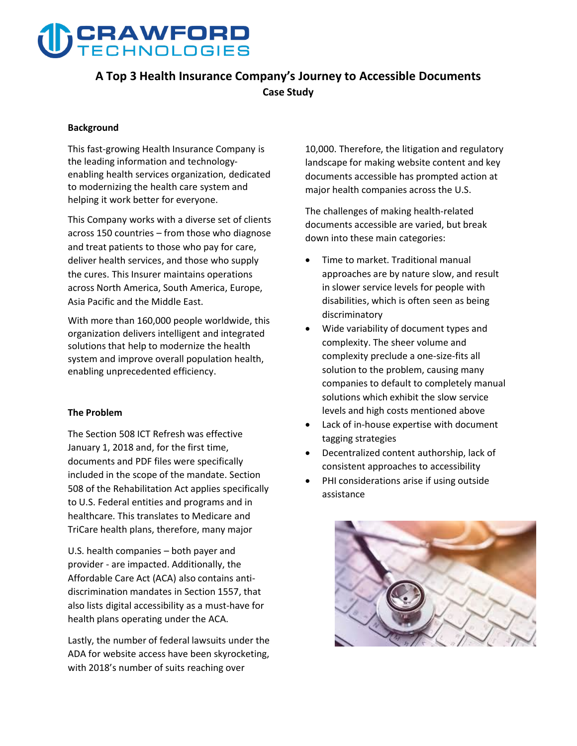# **CRAWFORD**

### **A Top 3 Health Insurance Company's Journey to Accessible Documents Case Study**

#### **Background**

**This fast-growing Health Insurance Company is the leading information and technologyenabling health services organization, dedicated to modernizing the health care system and helping it work better for everyone.** 

**This Company works with a diverse set of clients across 150 countries – from those who diagnose and treat patients to those who pay for care, deliver health services, and those who supply the cures. This Insurer maintains operations across North America, South America, Europe, Asia Pacific and the Middle East.** 

**With more than 160,000 people worldwide, this organization delivers intelligent and integrated solutions that help to modernize the health system and improve overall population health, enabling unprecedented efficiency.**

#### **The Problem**

**The Section 508 ICT Refresh was effective January 1, 2018 and, for the first time, documents and PDF files were specifically included in the scope of the mandate. Section 508 of the Rehabilitation Act applies specifically to U.S. Federal entities and programs and in healthcare. This translates to Medicare and TriCare health plans, therefore, many major** 

**U.S. health companies – both payer and provider - are impacted. Additionally, the Affordable Care Act (ACA) also contains antidiscrimination mandates in Section 1557, that also lists digital accessibility as a must-have for health plans operating under the ACA.** 

**Lastly, the number of federal lawsuits under the ADA for website access have been skyrocketing, with 2018's number of suits reaching over** 

**10,000. Therefore, the litigation and regulatory landscape for making website content and key documents accessible has prompted action at major health companies across the U.S.**

**The challenges of making health-related documents accessible are varied, but break down into these main categories:**

- **Time to market. Traditional manual approaches are by nature slow, and result in slower service levels for people with disabilities, which is often seen as being discriminatory**
- **Wide variability of document types and complexity. The sheer volume and complexity preclude a one-size-fits all solution to the problem, causing many companies to default to completely manual solutions which exhibit the slow service levels and high costs mentioned above**
- **Lack of in-house expertise with document tagging strategies**
- **Decentralized content authorship, lack of consistent approaches to accessibility**
- **PHI considerations arise if using outside assistance**

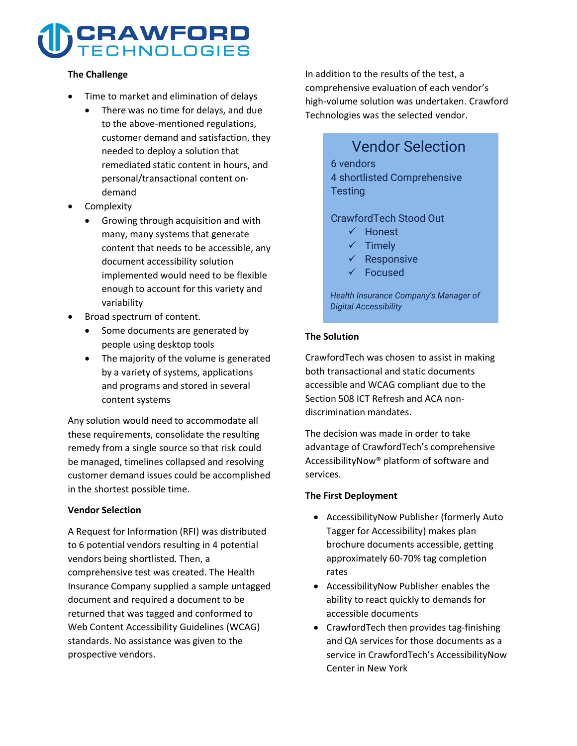# **CRAWFORD**<br>TECHNOLOGIES

#### **The Challenge**

- **Time to market and elimination of delays**
	- **There was no time for delays, and due to the above-mentioned regulations, customer demand and satisfaction, they needed to deploy a solution that remediated static content in hours, and personal/transactional content ondemand**
- **Complexity**
	- **Growing through acquisition and with many, many systems that generate content that needs to be accessible, any document accessibility solution implemented would need to be flexible enough to account for this variety and variability**
- **Broad spectrum of content.**
	- **Some documents are generated by people using desktop tools**
	- **The majority of the volume is generated by a variety of systems, applications and programs and stored in several content systems**

**Any solution would need to accommodate all these requirements, consolidate the resulting remedy from a single source so that risk could be managed, timelines collapsed and resolving customer demand issues could be accomplished in the shortest possible time.**

#### **Vendor Selection**

**A Request for Information (RFI) was distributed to 6 potential vendors resulting in 4 potential vendors being shortlisted. Then, a comprehensive test was created. The Health Insurance Company supplied a sample untagged document and required a document to be returned that was tagged and conformed to Web Content Accessibility Guidelines (WCAG) standards. No assistance was given to the prospective vendors.** 

**In addition to the results of the test, a comprehensive evaluation of each vendor's high-volume solution was undertaken. Crawford Technologies was the selected vendor.**

# Vendor Selection 6 vendors 4 shortlisted Comprehensive **Testing**

### CrawfordTech Stood Out

- $\checkmark$  Honest
- $\checkmark$  Timely
- $\checkmark$  Responsive
- Focused

*Health Insurance Company's Manager of Digital Accessibility* 

#### **The Solution**

**CrawfordTech was chosen to assist in making both transactional and static documents accessible and WCAG compliant due to the Section 508 ICT Refresh and ACA nondiscrimination mandates.**

**The decision was made in order to take advantage of CrawfordTech's comprehensive AccessibilityNow® platform of software and services.** 

#### **The First Deployment**

- **AccessibilityNow Publisher (formerly Auto Tagger for Accessibility) makes plan brochure documents accessible, getting approximately 60-70% tag completion rates**
- **AccessibilityNow Publisher enables the ability to react quickly to demands for accessible documents**
- **CrawfordTech then provides tag-finishing and QA services for those documents as a service in CrawfordTech's AccessibilityNow Center in New York**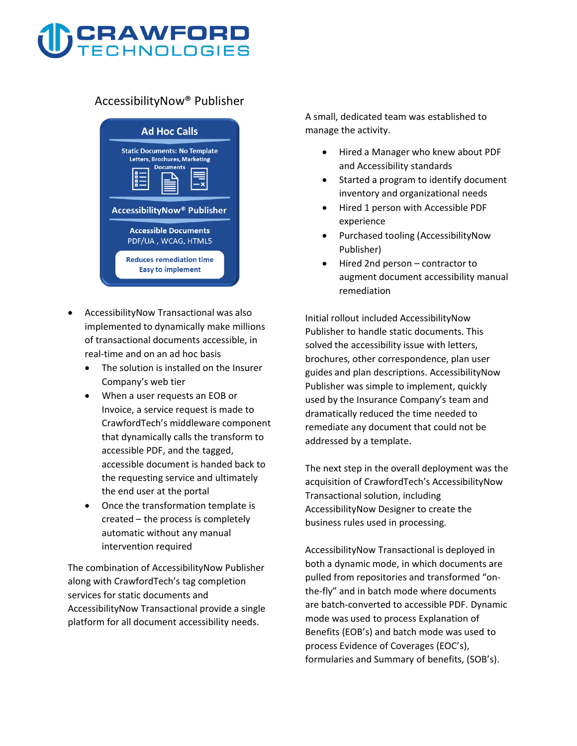# **CRAWFORD**<br>TECHNOLOGIES

### **AccessibilityNow® Publisher**



- **AccessibilityNow Transactional was also implemented to dynamically make millions of transactional documents accessible, in real-time and on an ad hoc basis**
	- **The solution is installed on the Insurer Company's web tier**
	- **When a user requests an EOB or Invoice, a service request is made to CrawfordTech's middleware component that dynamically calls the transform to accessible PDF, and the tagged, accessible document is handed back to the requesting service and ultimately the end user at the portal**
	- **Once the transformation template is created – the process is completely automatic without any manual intervention required**

**The combination of AccessibilityNow Publisher along with CrawfordTech's tag completion services for static documents and AccessibilityNow Transactional provide a single platform for all document accessibility needs.**

**A small, dedicated team was established to manage the activity.**

- **Hired a Manager who knew about PDF and Accessibility standards**
- **Started a program to identify document inventory and organizational needs**
- **Hired 1 person with Accessible PDF experience**
- **Purchased tooling (AccessibilityNow Publisher)**
- **Hired 2nd person contractor to augment document accessibility manual remediation**

**Initial rollout included AccessibilityNow Publisher to handle static documents. This solved the accessibility issue with letters, brochures, other correspondence, plan user guides and plan descriptions. AccessibilityNow Publisher was simple to implement, quickly used by the Insurance Company's team and dramatically reduced the time needed to remediate any document that could not be addressed by a template.** 

**The next step in the overall deployment was the acquisition of CrawfordTech's AccessibilityNow Transactional solution, including AccessibilityNow Designer to create the business rules used in processing.** 

**AccessibilityNow Transactional is deployed in both a dynamic mode, in which documents are pulled from repositories and transformed "onthe-fly" and in batch mode where documents are batch-converted to accessible PDF. Dynamic mode was used to process Explanation of Benefits (EOB's) and batch mode was used to process Evidence of Coverages (EOC's), formularies and Summary of benefits, (SOB's).**